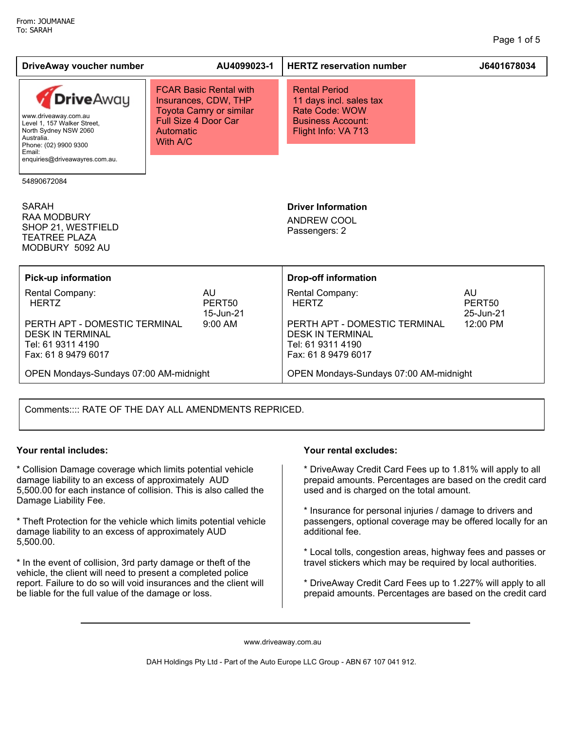| DriveAway voucher number                                                                                                                                                             |                                                                                                                                                        | AU4099023-1                                               | <b>HERTZ reservation number</b>                                                                                                         | J6401678034                                                |  |
|--------------------------------------------------------------------------------------------------------------------------------------------------------------------------------------|--------------------------------------------------------------------------------------------------------------------------------------------------------|-----------------------------------------------------------|-----------------------------------------------------------------------------------------------------------------------------------------|------------------------------------------------------------|--|
| <b>Drive</b> Away<br>www.driveaway.com.au<br>Level 1, 157 Walker Street,<br>North Sydney NSW 2060<br>Australia.<br>Phone: (02) 9900 9300<br>Email:<br>enquiries@driveawayres.com.au. | <b>FCAR Basic Rental with</b><br>Insurances, CDW, THP<br><b>Toyota Camry or similar</b><br><b>Full Size 4 Door Car</b><br><b>Automatic</b><br>With A/C |                                                           | <b>Rental Period</b><br>11 days incl. sales tax<br>Rate Code: WOW<br><b>Business Account:</b><br>Flight Info: VA 713                    |                                                            |  |
| 54890672084                                                                                                                                                                          |                                                                                                                                                        |                                                           |                                                                                                                                         |                                                            |  |
| <b>SARAH</b><br><b>RAA MODBURY</b><br>SHOP 21, WESTFIELD<br><b>TEATREE PLAZA</b><br>MODBURY 5092 AU                                                                                  |                                                                                                                                                        |                                                           | <b>Driver Information</b><br>ANDREW COOL<br>Passengers: 2                                                                               |                                                            |  |
| <b>Pick-up information</b>                                                                                                                                                           |                                                                                                                                                        |                                                           | <b>Drop-off information</b>                                                                                                             |                                                            |  |
| Rental Company:<br><b>HERTZ</b><br>PERTH APT - DOMESTIC TERMINAL<br><b>DESK IN TERMINAL</b><br>Tel: 61 9311 4190<br>Fax: 61 8 9479 6017                                              |                                                                                                                                                        | <b>AU</b><br>PERT <sub>50</sub><br>15-Jun-21<br>$9:00$ AM | Rental Company:<br><b>HERTZ</b><br>PERTH APT - DOMESTIC TERMINAL<br><b>DESK IN TERMINAL</b><br>Tel: 61 9311 4190<br>Fax: 61 8 9479 6017 | <b>AU</b><br>PERT <sub>50</sub><br>25-Jun-21<br>$12:00$ PM |  |
| OPEN Mondays-Sundays 07:00 AM-midnight                                                                                                                                               |                                                                                                                                                        |                                                           | OPEN Mondays-Sundays 07:00 AM-midnight                                                                                                  |                                                            |  |
|                                                                                                                                                                                      |                                                                                                                                                        |                                                           |                                                                                                                                         |                                                            |  |

Comments:::: RATE OF THE DAY ALL AMENDMENTS REPRICED.

\* Collision Damage coverage which limits potential vehicle damage liability to an excess of approximately AUD 5,500.00 for each instance of collision. This is also called the Damage Liability Fee.

\* Theft Protection for the vehicle which limits potential vehicle damage liability to an excess of approximately AUD 5,500.00.

\* In the event of collision, 3rd party damage or theft of the vehicle, the client will need to present a completed police report. Failure to do so will void insurances and the client will be liable for the full value of the damage or loss.

### **Your rental includes: Your rental excludes:**

\* DriveAway Credit Card Fees up to 1.81% will apply to all prepaid amounts. Percentages are based on the credit card used and is charged on the total amount.

\* Insurance for personal injuries / damage to drivers and passengers, optional coverage may be offered locally for an additional fee.

\* Local tolls, congestion areas, highway fees and passes or travel stickers which may be required by local authorities.

\* DriveAway Credit Card Fees up to 1.227% will apply to all prepaid amounts. Percentages are based on the credit card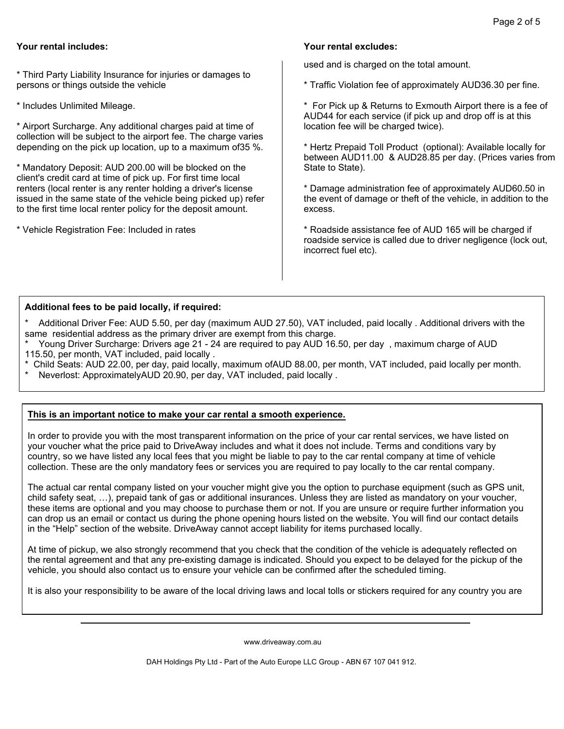## **Your rental includes: Your rental excludes:**

\* Third Party Liability Insurance for injuries or damages to persons or things outside the vehicle

\* Includes Unlimited Mileage.

\* Airport Surcharge. Any additional charges paid at time of collection will be subject to the airport fee. The charge varies depending on the pick up location, up to a maximum of35 %.

\* Mandatory Deposit: AUD 200.00 will be blocked on the client's credit card at time of pick up. For first time local renters (local renter is any renter holding a driver's license issued in the same state of the vehicle being picked up) refer to the first time local renter policy for the deposit amount.

\* Vehicle Registration Fee: Included in rates

used and is charged on the total amount.

\* Traffic Violation fee of approximately AUD36.30 per fine.

\* For Pick up & Returns to Exmouth Airport there is a fee of AUD44 for each service (if pick up and drop off is at this location fee will be charged twice).

\* Hertz Prepaid Toll Product (optional): Available locally for between AUD11.00 & AUD28.85 per day. (Prices varies from State to State).

\* Damage administration fee of approximately AUD60.50 in the event of damage or theft of the vehicle, in addition to the excess.

\* Roadside assistance fee of AUD 165 will be charged if roadside service is called due to driver negligence (lock out, incorrect fuel etc).

### **Additional fees to be paid locally, if required:**

Additional Driver Fee: AUD 5.50, per day (maximum AUD 27.50), VAT included, paid locally . Additional drivers with the same residential address as the primary driver are exempt from this charge.

- \* Young Driver Surcharge: Drivers age 21 24 are required to pay AUD 16.50, per day , maximum charge of AUD 115.50, per month, VAT included, paid locally .
- \* Child Seats: AUD 22.00, per day, paid locally, maximum ofAUD 88.00, per month, VAT included, paid locally per month.

Neverlost: ApproximatelyAUD 20.90, per day, VAT included, paid locally .

# **This is an important notice to make your car rental a smooth experience.**

In order to provide you with the most transparent information on the price of your car rental services, we have listed on your voucher what the price paid to DriveAway includes and what it does not include. Terms and conditions vary by country, so we have listed any local fees that you might be liable to pay to the car rental company at time of vehicle collection. These are the only mandatory fees or services you are required to pay locally to the car rental company.

The actual car rental company listed on your voucher might give you the option to purchase equipment (such as GPS unit, child safety seat, …), prepaid tank of gas or additional insurances. Unless they are listed as mandatory on your voucher, these items are optional and you may choose to purchase them or not. If you are unsure or require further information you can drop us an email or contact us during the phone opening hours listed on the website. You will find our contact details in the "Help" section of the website. DriveAway cannot accept liability for items purchased locally.

At time of pickup, we also strongly recommend that you check that the condition of the vehicle is adequately reflected on the rental agreement and that any pre-existing damage is indicated. Should you expect to be delayed for the pickup of the vehicle, you should also contact us to ensure your vehicle can be confirmed after the scheduled timing.

It is also your responsibility to be aware of the local driving laws and local tolls or stickers required for any country you are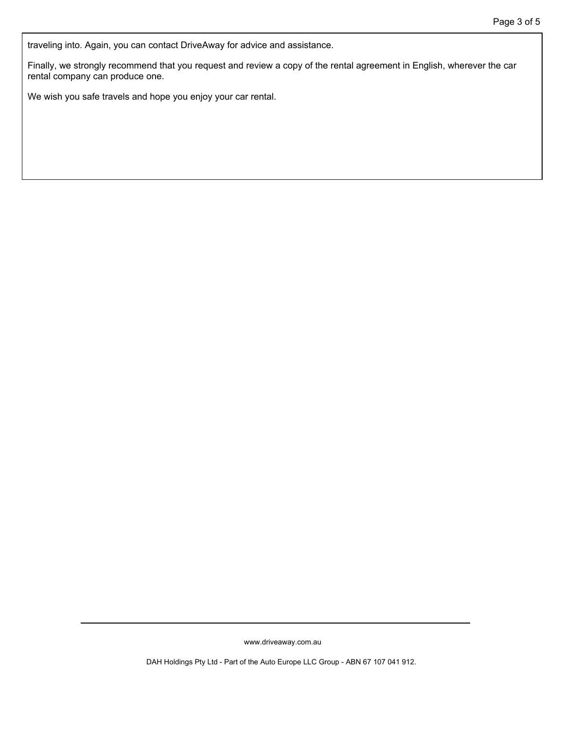traveling into. Again, you can contact DriveAway for advice and assistance.

Finally, we strongly recommend that you request and review a copy of the rental agreement in English, wherever the car rental company can produce one.

We wish you safe travels and hope you enjoy your car rental.

www.driveaway.com.au

DAH Holdings Pty Ltd - Part of the Auto Europe LLC Group - ABN 67 107 041 912.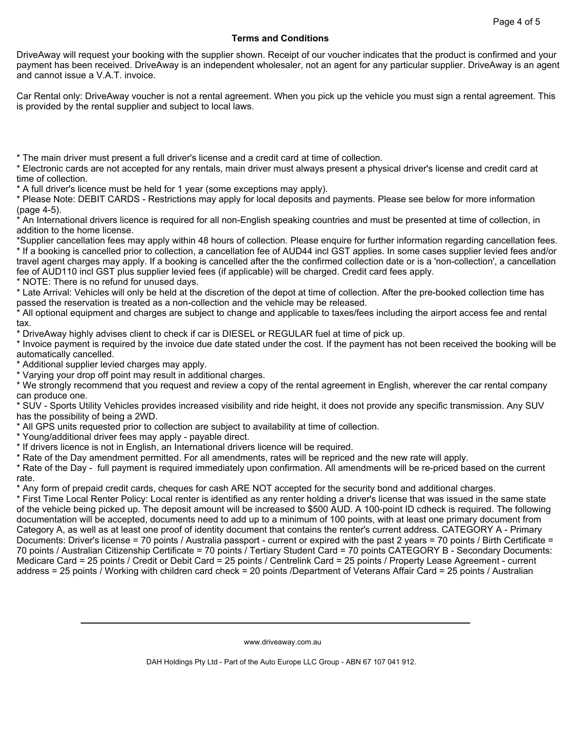## **Terms and Conditions**

DriveAway will request your booking with the supplier shown. Receipt of our voucher indicates that the product is confirmed and your payment has been received. DriveAway is an independent wholesaler, not an agent for any particular supplier. DriveAway is an agent and cannot issue a V.A.T. invoice.

Car Rental only: DriveAway voucher is not a rental agreement. When you pick up the vehicle you must sign a rental agreement. This is provided by the rental supplier and subject to local laws.

\* The main driver must present a full driver's license and a credit card at time of collection.

\* Electronic cards are not accepted for any rentals, main driver must always present a physical driver's license and credit card at time of collection.

\* A full driver's licence must be held for 1 year (some exceptions may apply).

\* Please Note: DEBIT CARDS - Restrictions may apply for local deposits and payments. Please see below for more information (page 4-5).

\* An International drivers licence is required for all non-English speaking countries and must be presented at time of collection, in addition to the home license.

\*Supplier cancellation fees may apply within 48 hours of collection. Please enquire for further information regarding cancellation fees. \* If a booking is cancelled prior to collection, a cancellation fee of AUD44 incl GST applies. In some cases supplier levied fees and/or travel agent charges may apply. If a booking is cancelled after the the confirmed collection date or is a 'non-collection', a cancellation fee of AUD110 incl GST plus supplier levied fees (if applicable) will be charged. Credit card fees apply.

\* NOTE: There is no refund for unused days.

\* Late Arrival: Vehicles will only be held at the discretion of the depot at time of collection. After the pre-booked collection time has passed the reservation is treated as a non-collection and the vehicle may be released.

\* All optional equipment and charges are subject to change and applicable to taxes/fees including the airport access fee and rental tax.

\* DriveAway highly advises client to check if car is DIESEL or REGULAR fuel at time of pick up.

\* Invoice payment is required by the invoice due date stated under the cost. If the payment has not been received the booking will be automatically cancelled.

\* Additional supplier levied charges may apply.

\* Varying your drop off point may result in additional charges.

\* We strongly recommend that you request and review a copy of the rental agreement in English, wherever the car rental company can produce one.

\* SUV - Sports Utility Vehicles provides increased visibility and ride height, it does not provide any specific transmission. Any SUV has the possibility of being a 2WD.

\* All GPS units requested prior to collection are subject to availability at time of collection.

\* Young/additional driver fees may apply - payable direct.

\* If drivers licence is not in English, an International drivers licence will be required.

\* Rate of the Day amendment permitted. For all amendments, rates will be repriced and the new rate will apply.

\* Rate of the Day - full payment is required immediately upon confirmation. All amendments will be re-priced based on the current rate.

\* Any form of prepaid credit cards, cheques for cash ARE NOT accepted for the security bond and additional charges.

\* First Time Local Renter Policy: Local renter is identified as any renter holding a driver's license that was issued in the same state of the vehicle being picked up. The deposit amount will be increased to \$500 AUD. A 100-point ID cdheck is required. The following documentation will be accepted, documents need to add up to a minimum of 100 points, with at least one primary document from Category A, as well as at least one proof of identity document that contains the renter's current address. CATEGORY A - Primary Documents: Driver's license = 70 points / Australia passport - current or expired with the past 2 years = 70 points / Birth Certificate = 70 points / Australian Citizenship Certificate = 70 points / Tertiary Student Card = 70 points CATEGORY B - Secondary Documents: Medicare Card = 25 points / Credit or Debit Card = 25 points / Centrelink Card = 25 points / Property Lease Agreement - current address = 25 points / Working with children card check = 20 points /Department of Veterans Affair Card = 25 points / Australian